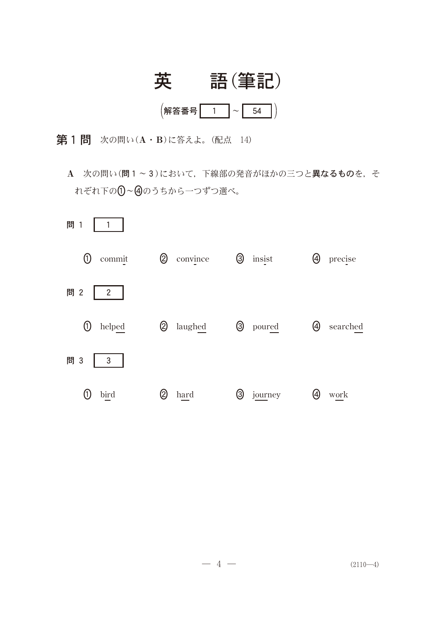

# 第1問 次の問い(A·B)に答えよ。(配点 14)

A 次の問い(問1~3)において、下線部の発音がほかの三つと異なるものを,そ れぞれ下の(J)~(4)のうちから一つずつ選べ。

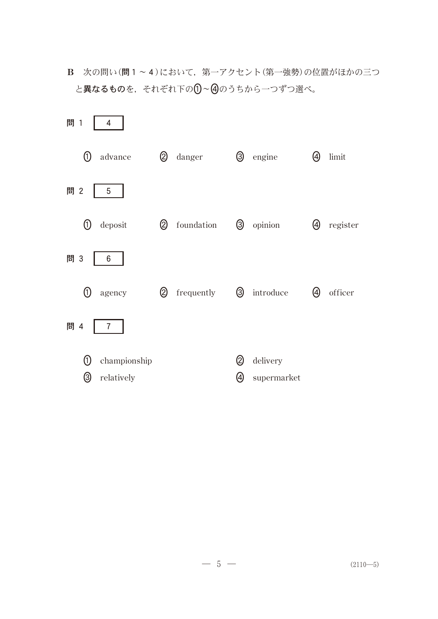B 次の問い(問1~4)において,第一アクセント(第一強勢)の位置がほかの三つ と**異なるもの**を,それぞれ下の(J)~(4)のうちから一つずつ選べ。



 $-5$  — (2110—5)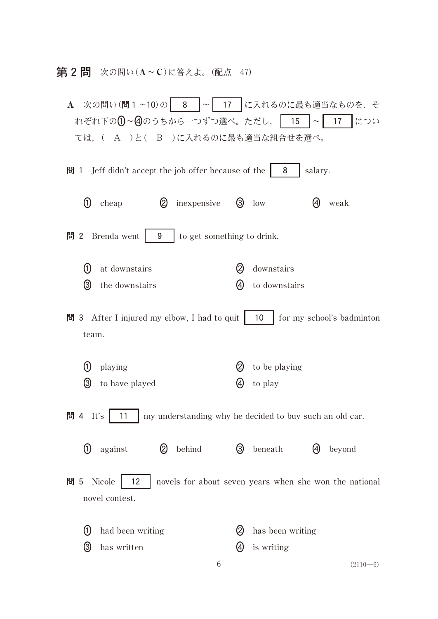#### 第2問 次の問い(A~C)に答えよ。(配点 47)

A 次の問い(問1~10)の 8 ~ 17 に入れるのに最も適当なものを,そ れぞれ下の(J)~⑷のうちから一つずつ選べ。ただし,| 15 |~| 17 |につい ては, ( A )と( B )に入れるのに最も適当な組合せを選べ。

問 1 Jeff didn't accept the job offer because of the 8 salary.

 $(1)$  cheap  $\alpha$  inexpensive  $\alpha$  low  $\alpha$  weak

 $\mathbb{F}$  2 Brenda went | 9 | to get something to drink.

 $\circ$ at downstairs **(2)** downstairs  $\overline{a}$  the downstairs  $\overline{a}$  to downstairs

問 3 After I injured my elbow, I had to quit | 10 | for my school's badminton team.

 $(1)$ playing (2) to be playing (3) to have played (4) to play

**問** 4 It's  $\begin{bmatrix} 11 \\ 11 \end{bmatrix}$  my understanding why he decided to buy such an old car.

(1) against (2) behind (3) beneath (4) beyond 問 5 Nicole | 12 | novels for about seven years when she won the national

⋒ had been writing (2) has been writing (3) has written (4) is writing  $-6$  — (2110—6)

novel contest.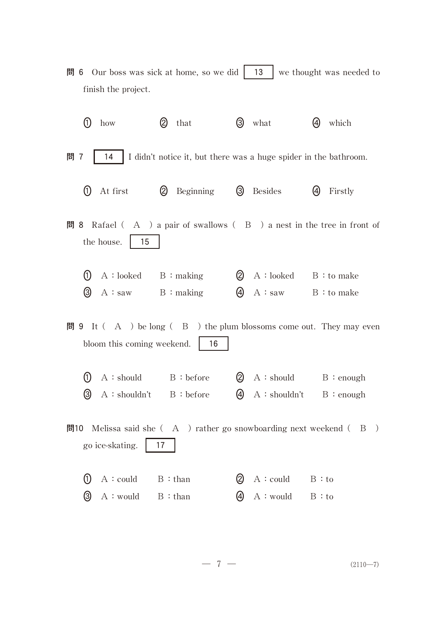- **問 6** Our boss was sick at home, so we did | 13 | we thought was needed to finish the project.
- $\Omega$  how  $\begin{array}{ccc} \text{(2)} & \text{that} \\ \text{(3)} & \text{what} \\ \text{(4)} & \text{which} \end{array}$  $\mathbb{B}$  7 | 14 | I didn't notice it, but there was a huge spider in the bathroom.  $(1)$  At first  $\alpha$  Beginning  $\beta$  Besides  $\beta$  Firstly 問 8 Rafael (A) a pair of swallows (B) a nest in the tree in front of the house.  $\vert$  15  $\begin{array}{ccc} \textbf{()} & A: \text{looked} & B: \text{making} \end{array}$   $\begin{array}{ccc} \textbf{()} & A: \text{looked} & B: \text{to make} \end{array}$  $\overline{a}$  A : saw B : making  $\overline{a}$  A : saw B : to make **問 9** It  $(A)$  be long  $(B)$  the plum blossoms come out. They may even bloom this coming weekend.  $\vert$  16  $(1)$  A : should  $B:$  before  $\bigotimes A:$  should  $B:$  enough  $\mathcal{A}:$ shouldn't  $B:$  before  $\mathcal{A}:$  A: shouldn't  $B:$  enough **問10** Melissa said she ( $\bf{A}$ ) rather go snowboarding next weekend ( $\bf{B}$ ) go ice-skating. 17  $\left( \mathcal{D}\right)$  $A:$  could  $B:$  than  $\emptyset$   $A:$  could  $B:$  to  $\overline{A}$  A:would B:than  $\overline{A}$  A:would B:to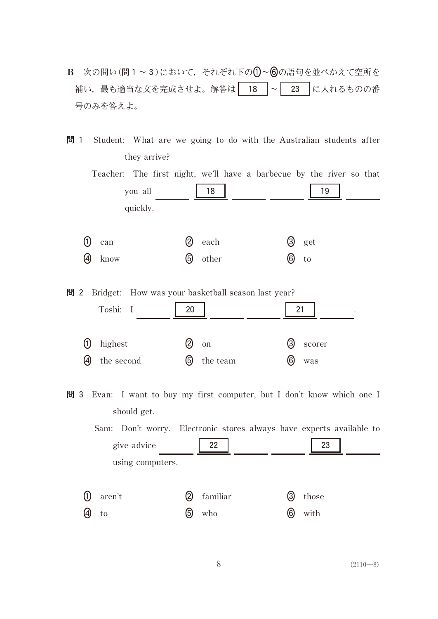<u>B 次の問い(問1~3)において,それぞれ下の(1)~(6</u>)の語句を並べかえて空所を 補い,最も適当な文を完成させよ。解答は | 18 |~ | 23 |に入れるものの番 号のみを答えよ。

問 1 Student: What are we going to do with the Australian students after they arrive? Teacher: The first night, we'll have a barbecue by the river so that you all 18 | 19 quickly.  $(1)$  can each get  $\begin{array}{ccc} \textbf{(4)} & \text{know} & \textbf{(5)} & \text{other} & \textbf{(6)} & \text{to} \end{array}$ 問 2 Bridget: How was your basketball season last year? Toshi: I 20 | 21 | 21  $\left( \begin{matrix} 0 \end{matrix} \right)$  highest  $\left( \begin{matrix} 2 \end{matrix} \right)$  on  $\left( \begin{matrix} 3 \end{matrix} \right)$  scorer (4) the second  $\overline{6}$  the team  $\overline{6}$  was 問 3 Evan: I want to buy my first computer, but I don't know which one I should get. Sam: Don't worry. Electronic stores always have experts available to give advice  $\begin{array}{|c|c|c|c|c|c|c|c|c|} \hline \end{array}$  23 using computers.  $_{\tiny\textregistered}$  $\alpha$  aren't **(2)** familiar **(3)** those  $\overline{4}$  to  $\overline{5}$  who  $\overline{6}$  with

 $-8$  — (2110—8)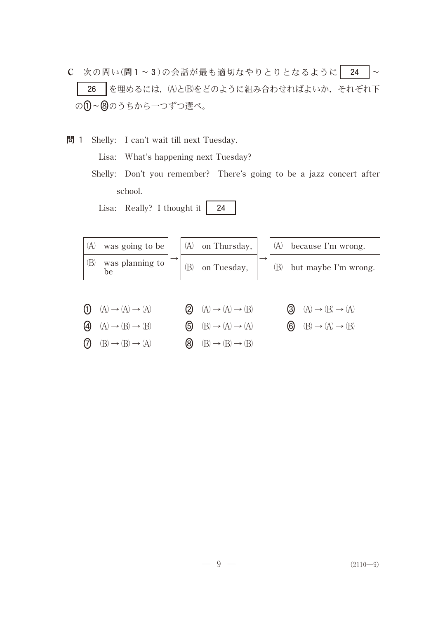- $C$  次の問い(問1~3)の会話が最も適切なやりとりとなるように 24 ~ 26 を埋めるには, (A)と(B)をどのように組み合わせればよいか, それぞれ下 の(1)~⑧のうちから一つずつ選べ。
- 問 1 Shelly: I can't wait till next Tuesday.
	- Lisa: What's happening next Tuesday?
	- Shelly: Don't you remember? There's going to be a jazz concert after school.

Lisa: Really? I thought it | 24



 $-9$  — (2110—9)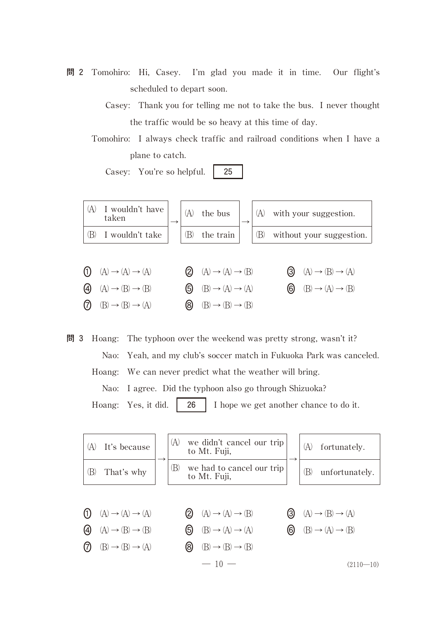- 問 2 Tomohiro: Hi, Casey. I'm glad you made it in time. Our flight's scheduled to depart soon.
	- Casey: Thank you for telling me not to take the bus. I never thought the traffic would be so heavy at this time of day.
	- Tomohiro: I always check traffic and railroad conditions when I have a plane to catch.

Casey: You're so helpful. 25



 $\bigoplus$   $(A) \rightarrow (A) \rightarrow (A)$  $\begin{array}{ccc} \textcircled{2} & (\textsf{A}) \rightarrow (\textsf{A}) \rightarrow (\textsf{B}) & \textcircled{3} & (\textsf{A}) \rightarrow (\textsf{B}) \rightarrow (\textsf{A}) \end{array}$  $\bigoplus$   $(A) \rightarrow (B) \rightarrow (B)$   $\bigoplus$   $(B) \rightarrow (A) \rightarrow (A)$   $\bigoplus$   $(B) \rightarrow (A) \rightarrow (B)$  $\bigcirc$   $(B) \rightarrow (B) \rightarrow (A)$   $\bigcirc$   $(B) \rightarrow (B) \rightarrow (B)$ 

問 3 Hoang: The typhoon over the weekend was pretty strong, wasn't it? Nao: Yeah, and my club's soccer match in Fukuoka Park was canceled. Hoang: We can never predict what the weather will bring. Nao: I agree. Did the typhoon also go through Shizuoka? Hoang: Yes, it did. 26 I hope we get another chance to do it.

| (A)                       | It's because                                                                                                            | (A)                                         |            | we didn't cancel our trip<br>to Mt. Fuji,                                                                               |                      | (A) | fortunately.                                                                   |
|---------------------------|-------------------------------------------------------------------------------------------------------------------------|---------------------------------------------|------------|-------------------------------------------------------------------------------------------------------------------------|----------------------|-----|--------------------------------------------------------------------------------|
| B)                        | That's why                                                                                                              | $\rightarrow$<br>$\left( \mathrm{B}\right)$ |            | we had to cancel our trip<br>to Mt. Fuji,                                                                               |                      | (B) | unfortunately.                                                                 |
| (1)<br>$\left( 4 \right)$ | $(A) \rightarrow (A) \rightarrow (A)$<br>$(A) \rightarrow (B) \rightarrow (B)$<br>$(B) \rightarrow (B) \rightarrow (A)$ |                                             | (5)<br>(8) | $(A) \rightarrow (A) \rightarrow (B)$<br>$(B) \rightarrow (A) \rightarrow (A)$<br>$(B) \rightarrow (B) \rightarrow (B)$ | (3)<br>$\circled{6}$ |     | $(A) \rightarrow (B) \rightarrow (A)$<br>$(B) \rightarrow (A) \rightarrow (B)$ |
|                           |                                                                                                                         |                                             |            | $-10$                                                                                                                   |                      |     | $(2110 - 10)$                                                                  |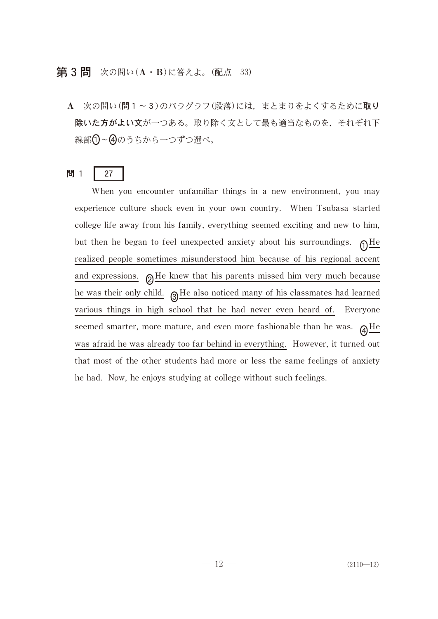#### 第3問 次の問い(A・B)に答えよ。(配点 33)

A 次の問い(問1~3)のパラグラフ(段落)には、まとまりをよくするために<mark>取り</mark> 除いた方がよい文が一つある。取り除く文として最も適当なものを,それぞれ下 線部(J)~(4)のうちから一つずつ選べ。

# 問 1 27

When you encounter unfamiliar things in a new environment, you may experience culture shock even in your own country. When Tsubasa started college life away from his family, everything seemed exciting and new to him, but then he began to feel unexpected anxiety about his surroundings.  $\,\,\mathbb{O}^{\text{He}}$ realized people sometimes misunderstood him because of his regional accent and expressions.  $\mathcal{Q}$  He knew that his parents missed him very much because he was their only child. 3 He also noticed many of his classmates had learned various things in high school that he had never even heard of. Everyone seemed smarter, more mature, and even more fashionable than he was.  $\mathbf{\mathfrak{q}}$ He was afraid he was already too far behind in everything. However, it turned out that most of the other students had more or less the same feelings of anxiety he had. Now, he enjoys studying at college without such feelings.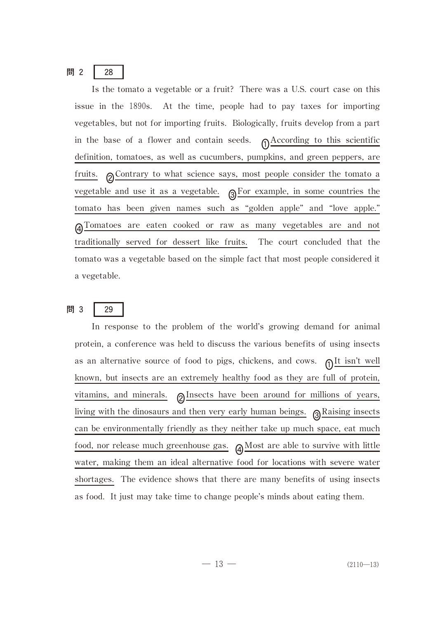# 問 2 28

Is the tomato a vegetable or a fruit? There was a U.S. court case on this issue in the 1890s. At the time, people had to pay taxes for importing vegetables, but not for importing fruits. Biologically, fruits develop from a part in the base of a flower and contain seeds. measurement of this scientific definition, tomatoes, as well as cucumbers, pumpkins, and green peppers, are fruits. **Q**Contrary to what science says, most people consider the tomato a vegetable and use it as a vegetable.  $\mathcal{B}$  For example, in some countries the tomato has been given names such as "golden apple" and "love apple." **A**Tomatoes are eaten cooked or raw as many vegetables are and not traditionally served for dessert like fruits. The court concluded that the tomato was a vegetable based on the simple fact that most people considered it a vegetable.

# 問 3 29

In response to the problem of the world's growing demand for animal protein, a conference was held to discuss the various benefits of using insects as an alternative source of food to pigs, chickens, and cows.  $\:\:\mathbb{O}^{\text{It isn't well}}$ known, but insects are an extremely healthy food as they are full of protein, vitamins, and minerals. 2 Insects have been around for millions of years, living with the dinosaurs and then very early human beings.  $\mathcal{B}$  Raising insects can be environmentally friendly as they neither take up much space, eat much food, nor release much greenhouse gas.  $\mathbf{\mathsf{Q}}$  Most are able to survive with little water, making them an ideal alternative food for locations with severe water shortages. The evidence shows that there are many benefits of using insects as food. It just may take time to change people's minds about eating them.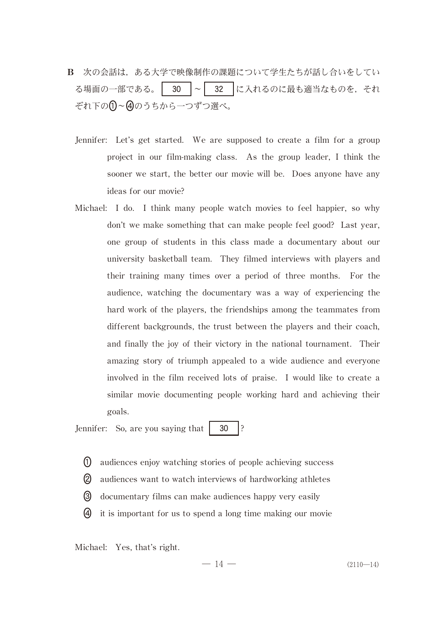- B 次の会話は、ある大学で映像制作の課題について学生たちが話し合いをしてい る場面の一部である。 30 |~ 32 |に入れるのに最も適当なものを、それ ぞれ下の(J)~(4)のうちから一つずつ選べ。
	- Jennifer: Let's get started. We are supposed to create a film for a group project in our film-making class. As the group leader, I think the sooner we start, the better our movie will be. Does anyone have any ideas for our movie?
	- Michael: I do. I think many people watch movies to feel happier, so why don't we make something that can make people feel good? Last year, one group of students in this class made a documentary about our university basketball team. They filmed interviews with players and their training many times over a period of three months. For the audience, watching the documentary was a way of experiencing the hard work of the players, the friendships among the teammates from different backgrounds, the trust between the players and their coach, and finally the joy of their victory in the national tournament. Their amazing story of triumph appealed to a wide audience and everyone involved in the film received lots of praise. I would like to create a similar movie documenting people working hard and achieving their goals.

Jennifer: So, are you saying that | 30 |?

- $\Omega$ audiences enjoy watching stories of people achieving success
- 2 audiences want to watch interviews of hardworking athletes
- documentary films can make audiences happy very easily
- it is important for us to spend a long time making our movie

Michael: Yes, that's right.

—  $14$  — (2110—14)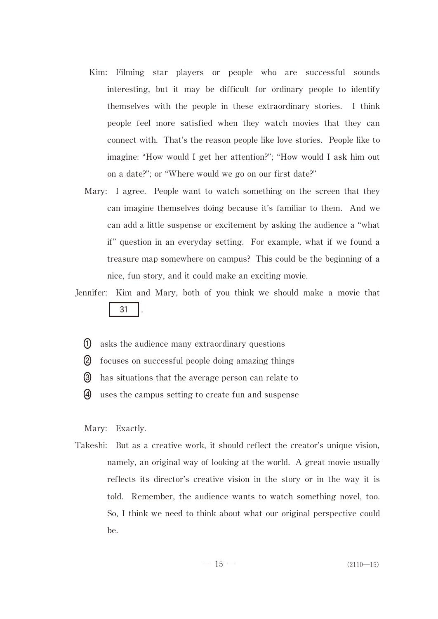- Kim: Filming star players or people who are successful sounds interesting, but it may be difficult for ordinary people to identify themselves with the people in these extraordinary stories. I think people feel more satisfied when they watch movies that they can connect with. That's the reason people like love stories. People like to imagine: "How would I get her attention?"; "How would I ask him out on a date?"; or "Where would we go on our first date?"
- Mary: I agree. People want to watch something on the screen that they can imagine themselves doing because it's familiar to them. And we can add a little suspense or excitement by asking the audience a "what if" question in an everyday setting. For example, what if we found a treasure map somewhere on campus? This could be the beginning of a nice, fun story, and it could make an exciting movie.
- Jennifer: Kim and Mary, both of you think we should make a movie that 31 .
	- $\Omega$ asks the audience many extraordinary questions
	- **(2)** focuses on successful people doing amazing things
	- has situations that the average person can relate to
	- uses the campus setting to create fun and suspense

Mary: Exactly.

Takeshi: But as a creative work, it should reflect the creator's unique vision, namely, an original way of looking at the world. A great movie usually reflects its director's creative vision in the story or in the way it is told. Remember, the audience wants to watch something novel, too. So, I think we need to think about what our original perspective could be.

—  $15$  — (2110—15)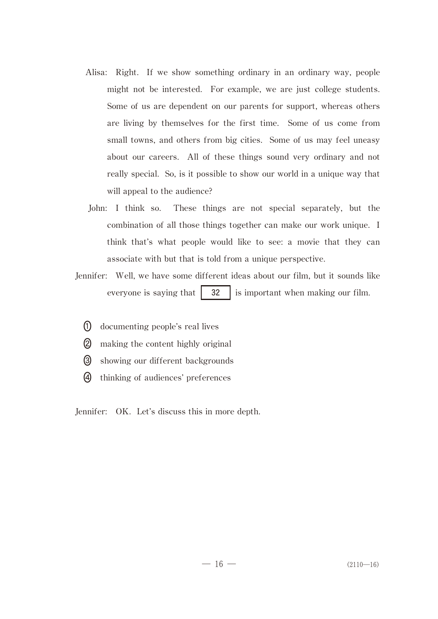- Alisa: Right. If we show something ordinary in an ordinary way, people might not be interested. For example, we are just college students. Some of us are dependent on our parents for support, whereas others are living by themselves for the first time. Some of us come from small towns, and others from big cities. Some of us may feel uneasy about our careers. All of these things sound very ordinary and not really special. So, is it possible to show our world in a unique way that will appeal to the audience?
- John: I think so. These things are not special separately, but the combination of all those things together can make our work unique. I think that's what people would like to see: a movie that they can associate with but that is told from a unique perspective.
- Jennifer: Well, we have some different ideas about our film, but it sounds like everyone is saying that  $\begin{vmatrix} 32 \\ 1 \end{vmatrix}$  is important when making our film.
	- $(1)$ documenting people's real lives
	- making the content highly original
	- showing our different backgrounds
	- thinking of audiences' preferences

Jennifer: OK. Let's discuss this in more depth.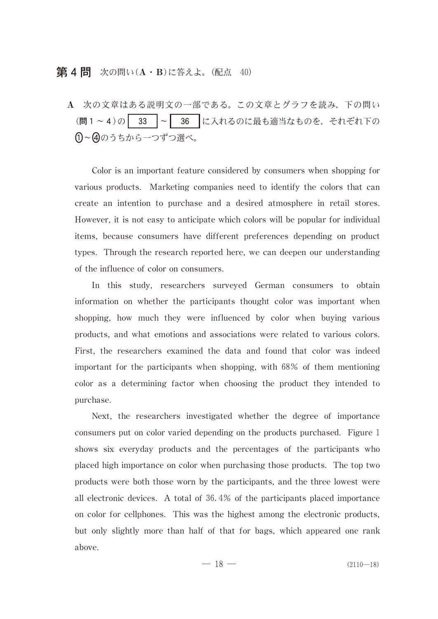## 第4問 次の問い(A·B)に答えよ。(配点 40)

A 次の文章はある説明文の一部である。この文章とグラフを読み,下の問い (問1~4)の 33 ~ 36 に入れるのに最も適当なものを、それぞれ下の **⑴~⑷**のうちから一つずつ選べ。

Color is an important feature considered by consumers when shopping for various products. Marketing companies need to identify the colors that can create an intention to purchase and a desired atmosphere in retail stores. However, it is not easy to anticipate which colors will be popular for individual items, because consumers have different preferences depending on product types. Through the research reported here, we can deepen our understanding of the influence of color on consumers.

In this study, researchers surveyed German consumers to obtain information on whether the participants thought color was important when shopping, how much they were influenced by color when buying various products, and what emotions and associations were related to various colors. First, the researchers examined the data and found that color was indeed important for the participants when shopping, with 68% of them mentioning color as a determining factor when choosing the product they intended to purchase.

Next, the researchers investigated whether the degree of importance consumers put on color varied depending on the products purchased. Figure 1 shows six everyday products and the percentages of the participants who placed high importance on color when purchasing those products. The top two products were both those worn by the participants, and the three lowest were all electronic devices. A total of 36.4% of the participants placed importance on color for cellphones. This was the highest among the electronic products, but only slightly more than half of that for bags, which appeared one rank above.

 $-18$  — (2110—18)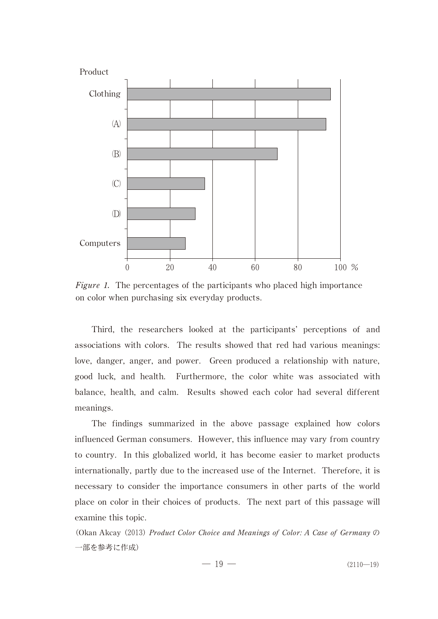

*Figure 1.* The percentages of the participants who placed high importance on color when purchasing six everyday products.

Third, the researchers looked at the participants' perceptions of and associations with colors. The results showed that red had various meanings: love, danger, anger, and power. Green produced a relationship with nature, good luck, and health. Furthermore, the color white was associated with balance, health, and calm. Results showed each color had several different meanings.

The findings summarized in the above passage explained how colors influenced German consumers. However, this influence may vary from country to country. In this globalized world, it has become easier to market products internationally, partly due to the increased use of the Internet. Therefore, it is necessary to consider the importance consumers in other parts of the world place on color in their choices of products. The next part of this passage will examine this topic.

(Okan Akcay(2013)*Product Color Choice and Meanings of Color: A Case of Germany* の 一部を参考に作成)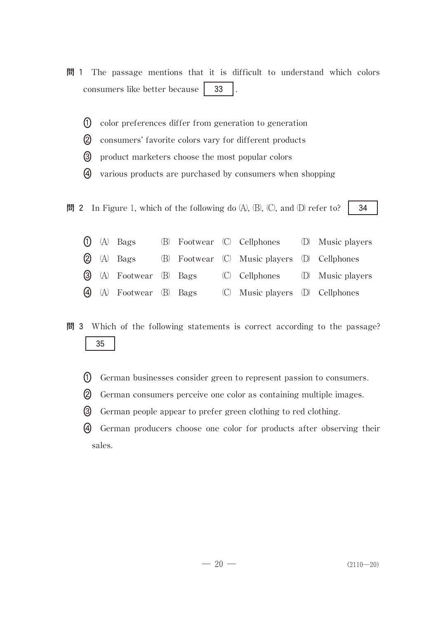- 問 1 The passage mentions that it is difficult to understand which colors consumers like better because | 33
	- $\circ$ color preferences differ from generation to generation
	- consumers' favorite colors vary for different products
	- product marketers choose the most popular colors
	- various products are purchased by consumers when shopping
- **問** 2 In Figure 1, which of the following do  $(A)$ ,  $(B)$ ,  $(C)$ , and  $(D)$  refer to? | 34

|  | $\Omega$ (A) Bags       |  | (B) Footwear (C) Cellphones (D) Music players                   |  |
|--|-------------------------|--|-----------------------------------------------------------------|--|
|  | $\Omega$ (A) Bags       |  | (B) Footwear (C) Music players (D) Cellphones                   |  |
|  |                         |  | <b>3</b> (A) Footwear (B) Bags (C) Cellphones (D) Music players |  |
|  | 4 (A) Footwear (B) Bags |  | $(C)$ Music players $(D)$ Cellphones                            |  |

- **問 3** Which of the following statements is correct according to the passage? 35
	- German businesses consider green to represent passion to consumers.
	- German consumers perceive one color as containing multiple images.
	- German people appear to prefer green clothing to red clothing.
	- German producers choose one color for products after observing their sales.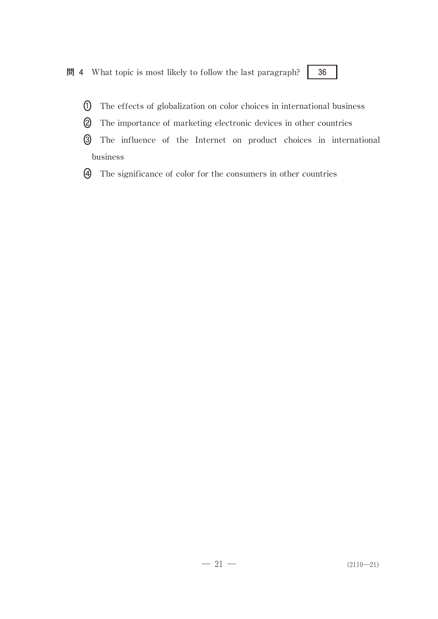問 4 What topic is most likely to follow the last paragraph?  $\begin{bmatrix} 36 \end{bmatrix}$ 

- 
- The effects of globalization on color choices in international business
- The importance of marketing electronic devices in other countries
- The influence of the Internet on product choices in international business
- The significance of color for the consumers in other countries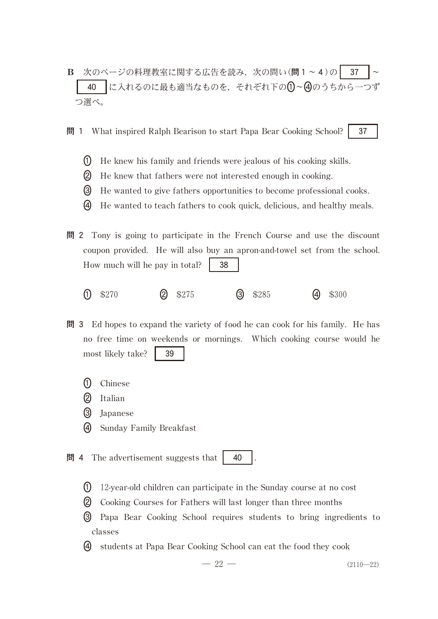- $\mathbf{B}$  次のページの料理教室に関する広告を読み,次の問い(問1~4)の \_40 |に入れるのに最も適当なものを,それぞれ下の(J)~(4)のうちから一つず つ選べ。
- 問 1 What inspired Ralph Bearison to start Papa Bear Cooking School? | 37
	- He knew his family and friends were jealous of his cooking skills.
	- 2) He knew that fathers were not interested enough in cooking.
	- He wanted to give fathers opportunities to become professional cooks.
	- He wanted to teach fathers to cook quick, delicious, and healthy meals.
- 問 2 Tony is going to participate in the French Course and use the discount coupon provided. He will also buy an apron-and-towel set from the school. How much will he pay in total?  $\vert$  38
	- (1) (1) \$270 (2) \$275 (3) \$285 (4) \$300
- 問 3 Ed hopes to expand the variety of food he can cook for his family. He has no free time on weekends or mornings. Which cooking course would he most likely take? 39
	- $\Omega$ Chinese
	- 2 Italian
	- (3) Japanese
	- Sunday Family Breakfast
- $\mathbb{B}$  4 The advertisement suggests that  $\vert$  40
	- 12-year-old children can participate in the Sunday course at no cost
	- **2** Cooking Courses for Fathers will last longer than three months
	- Papa Bear Cooking School requires students to bring ingredients to classes
	- students at Papa Bear Cooking School can eat the food they cook

—  $22$  — (2110—22)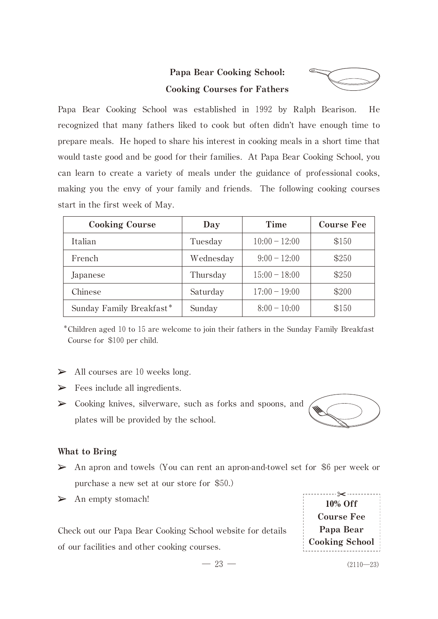# **Papa Bear Cooking School: Cooking Courses for Fathers**



Papa Bear Cooking School was established in 1992 by Ralph Bearison. He recognized that many fathers liked to cook but often didn't have enough time to prepare meals. He hoped to share his interest in cooking meals in a short time that would taste good and be good for their families. At Papa Bear Cooking School, you can learn to create a variety of meals under the guidance of professional cooks, making you the envy of your family and friends. The following cooking courses start in the first week of May.

| <b>Cooking Course</b>    | Day       | Time            | Course Fee |
|--------------------------|-----------|-----------------|------------|
| Italian                  | Tuesday   | $10:00 - 12:00$ | \$150      |
| French                   | Wednesday | $9:00-12:00$    | \$250      |
| Japanese                 | Thursday  | $15:00 - 18:00$ | \$250      |
| Chinese                  | Saturday  | $17:00 - 19:00$ | \$200      |
| Sunday Family Breakfast* | Sunday    | $8:00-10:00$    | \$150      |

\*Children aged 10 to 15 are welcome to join their fathers in the Sunday Family Breakfast Course for \$100 per child.

- $\triangleright$  All courses are 10 weeks long.
- $\triangleright$  Fees include all ingredients.
- $\triangleright$  Cooking knives, silverware, such as forks and spoons, and plates will be provided by the school.

#### **What to Bring**

- $\triangleright$  An apron and towels (You can rent an apron-and-towel set for \$6 per week or purchase a new set at our store for \$50.)
- 

Check out our Papa Bear Cooking School website for details of our facilities and other cooking courses.

An empty stomach!<br>
10% Off **Course Fee Cooking School Cooking School**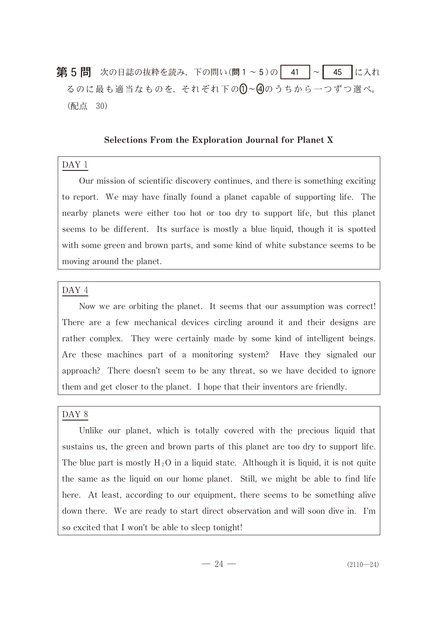# 第5問 次の日誌の抜粋を読み,下の問い(問1~5)の 41 ~ 45 に入れ るのに最も適当なものを,それぞれ下の(I)~(4)のうちから一つずつ選べ。 (配点 30)

# **Selections From the Exploration Journal for Planet X**

#### DAY 1

Our mission of scientific discovery continues, and there is something exciting to report. We may have finally found a planet capable of supporting life. The nearby planets were either too hot or too dry to support life, but this planet seems to be different. Its surface is mostly a blue liquid, though it is spotted with some green and brown parts, and some kind of white substance seems to be moving around the planet.

## DAY 4

Now we are orbiting the planet. It seems that our assumption was correct! There are a few mechanical devices circling around it and their designs are rather complex. They were certainly made by some kind of intelligent beings. Are these machines part of a monitoring system? Have they signaled our approach? There doesn't seem to be any threat, so we have decided to ignore them and get closer to the planet. I hope that their inventors are friendly.

## DAY 8

Unlike our planet, which is totally covered with the precious liquid that sustains us, the green and brown parts of this planet are too dry to support life. The blue part is mostly  $H_2O$  in a liquid state. Although it is liquid, it is not quite the same as the liquid on our home planet. Still, we might be able to find life here. At least, according to our equipment, there seems to be something alive down there. We are ready to start direct observation and will soon dive in. I'm so excited that I won't be able to sleep tonight!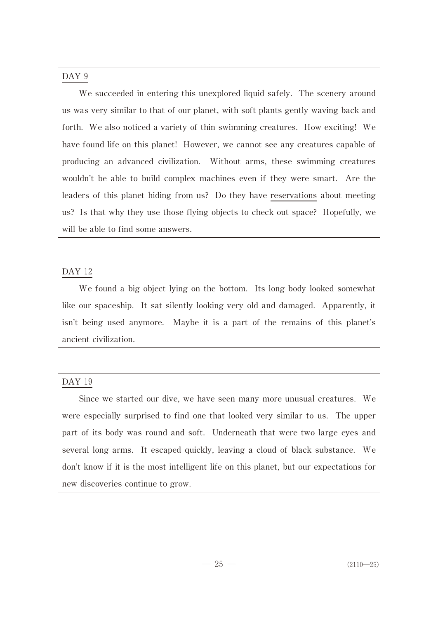# DAY 9

We succeeded in entering this unexplored liquid safely. The scenery around us was very similar to that of our planet, with soft plants gently waving back and forth. We also noticed a variety of thin swimming creatures. How exciting! We have found life on this planet! However, we cannot see any creatures capable of producing an advanced civilization. Without arms, these swimming creatures wouldn't be able to build complex machines even if they were smart. Are the leaders of this planet hiding from us? Do they have reservations about meeting us? Is that why they use those flying objects to check out space? Hopefully, we will be able to find some answers.

# DAY 12

We found a big object lying on the bottom. Its long body looked somewhat like our spaceship. It sat silently looking very old and damaged. Apparently, it isn't being used anymore. Maybe it is a part of the remains of this planet's ancient civilization.

# DAY 19

Since we started our dive, we have seen many more unusual creatures. We were especially surprised to find one that looked very similar to us. The upper part of its body was round and soft. Underneath that were two large eyes and several long arms. It escaped quickly, leaving a cloud of black substance. We don't know if it is the most intelligent life on this planet, but our expectations for new discoveries continue to grow.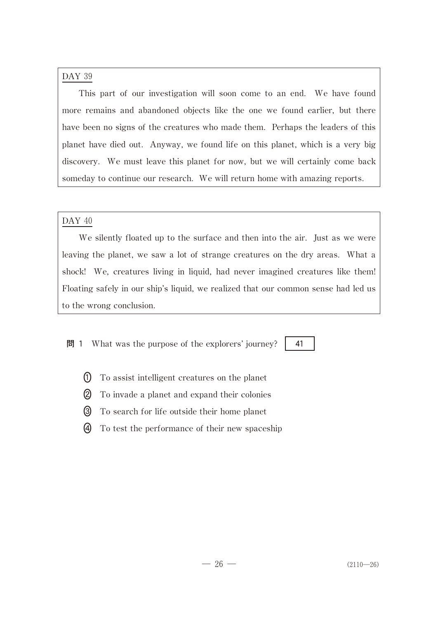### DAY 39

This part of our investigation will soon come to an end. We have found more remains and abandoned objects like the one we found earlier, but there have been no signs of the creatures who made them. Perhaps the leaders of this planet have died out. Anyway, we found life on this planet, which is a very big discovery. We must leave this planet for now, but we will certainly come back someday to continue our research. We will return home with amazing reports.

## DAY 40

We silently floated up to the surface and then into the air. Just as we were leaving the planet, we saw a lot of strange creatures on the dry areas. What a shock! We, creatures living in liquid, had never imagined creatures like them! Floating safely in our ship's liquid, we realized that our common sense had led us to the wrong conclusion.

## **問** 1 What was the purpose of the explorers' journey? | 41

- $(1)$ To assist intelligent creatures on the planet
- To invade a planet and expand their colonies
- To search for life outside their home planet
- To test the performance of their new spaceship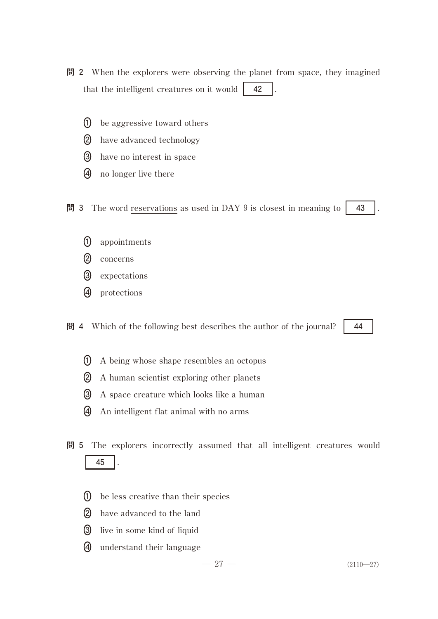- 問 2 When the explorers were observing the planet from space, they imagined that the intelligent creatures on it would  $\begin{bmatrix} 42 \end{bmatrix}$ 
	- $\Omega$ be aggressive toward others
	- have advanced technology
	- have no interest in space
	- no longer live there

問 3 The word reservations as used in DAY  $9$  is closest in meaning to  $\begin{bmatrix} 43 \\ 43 \end{bmatrix}$ 

- $(1)$ appointments
- (2) concerns
- **3** expectations
- **4** protections

間 4 Which of the following best describes the author of the journal? | 44

- A being whose shape resembles an octopus
- A human scientist exploring other planets
- A space creature which looks like a human
- An intelligent flat animal with no arms
- 問 5 The explorers incorrectly assumed that all intelligent creatures would 45 .
	- be less creative than their species
	- have advanced to the land
	- **(3)** live in some kind of liquid
	- understand their language

 $-27 -$  (2110—27)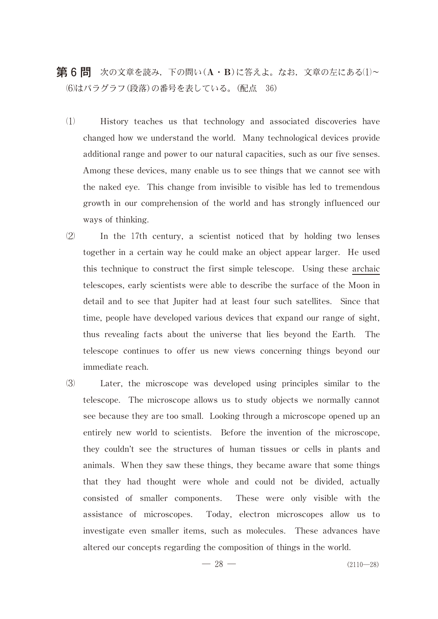- $\mathbf{\hat{H}}$  6 問 次の文章を読み,下の問い $(A \cdot B)$ に答えよ。なお,文章の左にある $(1)$ ~ はパラグラフ(段落)の番号を表している。(配点 36)
	- History teaches us that technology and associated discoveries have changed how we understand the world. Many technological devices provide additional range and power to our natural capacities, such as our five senses. Among these devices, many enable us to see things that we cannot see with the naked eye. This change from invisible to visible has led to tremendous growth in our comprehension of the world and has strongly influenced our ways of thinking.
	- $(2)$  In the 17th century, a scientist noticed that by holding two lenses together in a certain way he could make an object appear larger. He used this technique to construct the first simple telescope. Using these archaic telescopes, early scientists were able to describe the surface of the Moon in detail and to see that Jupiter had at least four such satellites. Since that time, people have developed various devices that expand our range of sight, thus revealing facts about the universe that lies beyond the Earth. The telescope continues to offer us new views concerning things beyond our immediate reach.
	- Later, the microscope was developed using principles similar to the telescope. The microscope allows us to study objects we normally cannot see because they are too small. Looking through a microscope opened up an entirely new world to scientists. Before the invention of the microscope, they couldn't see the structures of human tissues or cells in plants and animals. When they saw these things, they became aware that some things that they had thought were whole and could not be divided, actually consisted of smaller components. These were only visible with the assistance of microscopes. Today, electron microscopes allow us to investigate even smaller items, such as molecules. These advances have altered our concepts regarding the composition of things in the world.

 $-28$  — (2110—28)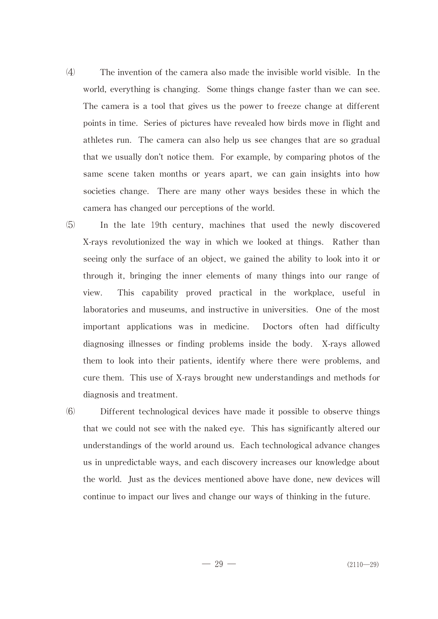- The invention of the camera also made the invisible world visible. In the world, everything is changing. Some things change faster than we can see. The camera is a tool that gives us the power to freeze change at different points in time. Series of pictures have revealed how birds move in flight and athletes run. The camera can also help us see changes that are so gradual that we usually don't notice them. For example, by comparing photos of the same scene taken months or years apart, we can gain insights into how societies change. There are many other ways besides these in which the camera has changed our perceptions of the world.
- In the late 19th century, machines that used the newly discovered X-rays revolutionized the way in which we looked at things. Rather than seeing only the surface of an object, we gained the ability to look into it or through it, bringing the inner elements of many things into our range of view. This capability proved practical in the workplace, useful in laboratories and museums, and instructive in universities. One of the most important applications was in medicine. Doctors often had difficulty diagnosing illnesses or finding problems inside the body. X-rays allowed them to look into their patients, identify where there were problems, and cure them. This use of X-rays brought new understandings and methods for diagnosis and treatment.
- Different technological devices have made it possible to observe things that we could not see with the naked eye. This has significantly altered our understandings of the world around us. Each technological advance changes us in unpredictable ways, and each discovery increases our knowledge about the world. Just as the devices mentioned above have done, new devices will continue to impact our lives and change our ways of thinking in the future.

—  $29$  — (2110—29)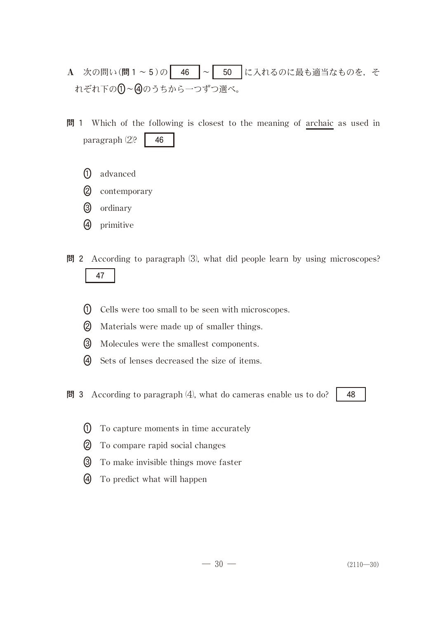- A 次の問い(問1~5)の 46 ~ 50 に入れるのに最も適当なものを,そ れぞれ下の(1)~(4)のうちから一つずつ選べ。
- 問 1 Which of the following is closest to the meaning of archaic as used in paragraph  $(2)$ ? 46
	- $\left( 1\right)$ advanced
	- (2) contemporary
	- (3) ordinary
	- (4) primitive
- $$ 47
	- Cells were too small to be seen with microscopes.
	- Materials were made up of smaller things.
	- Molecules were the smallest components.
	- Sets of lenses decreased the size of items.
- 問 3 According to paragraph  $(4)$ , what do cameras enable us to do? | 48

- To capture moments in time accurately
- To compare rapid social changes
- To make invisible things move faster
- To predict what will happen